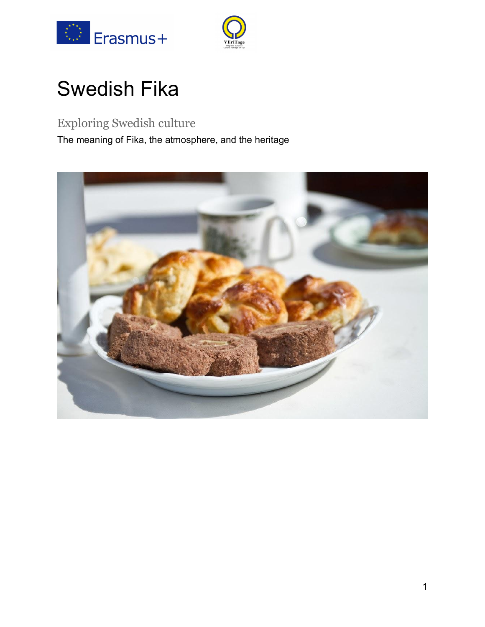



# Swedish Fika

### Exploring Swedish culture

The meaning of Fika, the atmosphere, and the heritage

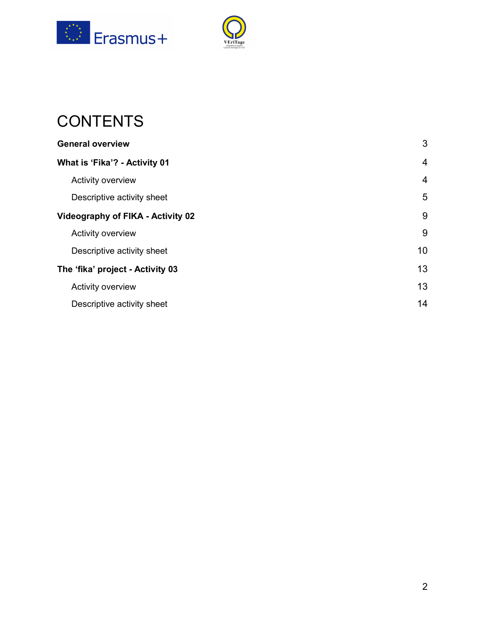



## **CONTENTS**

| <b>General overview</b>                  | 3              |
|------------------------------------------|----------------|
| What is 'Fika'? - Activity 01            | $\overline{4}$ |
| Activity overview                        | $\overline{4}$ |
| Descriptive activity sheet               | 5              |
| <b>Videography of FIKA - Activity 02</b> | 9              |
| Activity overview                        | 9              |
| Descriptive activity sheet               | 10             |
| The 'fika' project - Activity 03         | 13             |
| Activity overview                        | 13             |
| Descriptive activity sheet               | 14             |
|                                          |                |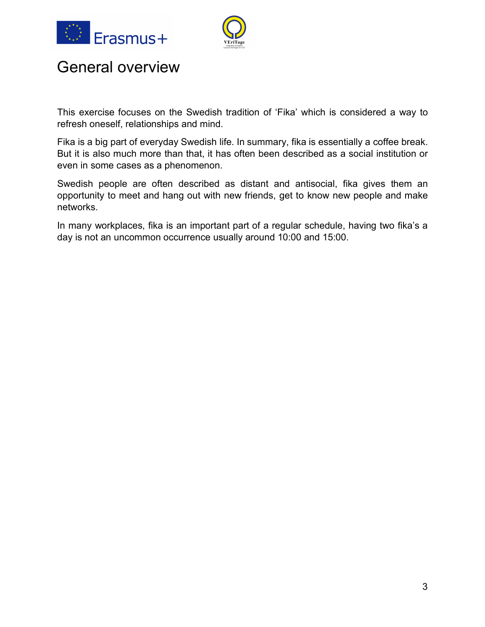



## General overview

This exercise focuses on the Swedish tradition of 'Fika' which is considered a way to refresh oneself, relationships and mind.

Fika is a big part of everyday Swedish life. In summary, fika is essentially a coffee break. But it is also much more than that, it has often been described as a social institution or even in some cases as a phenomenon.

Swedish people are often described as distant and antisocial, fika gives them an opportunity to meet and hang out with new friends, get to know new people and make networks.

In many workplaces, fika is an important part of a regular schedule, having two fika's a day is not an uncommon occurrence usually around 10:00 and 15:00.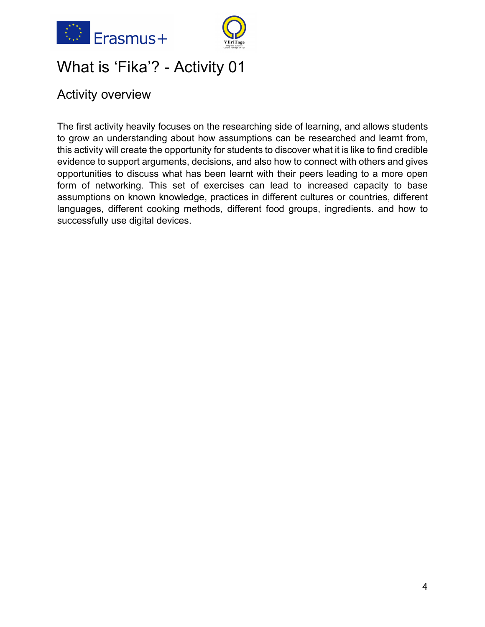



## What is 'Fika'? - Activity 01

### Activity overview

The first activity heavily focuses on the researching side of learning, and allows students to grow an understanding about how assumptions can be researched and learnt from, this activity will create the opportunity for students to discover what it is like to find credible evidence to support arguments, decisions, and also how to connect with others and gives opportunities to discuss what has been learnt with their peers leading to a more open form of networking. This set of exercises can lead to increased capacity to base assumptions on known knowledge, practices in different cultures or countries, different languages, different cooking methods, different food groups, ingredients. and how to successfully use digital devices.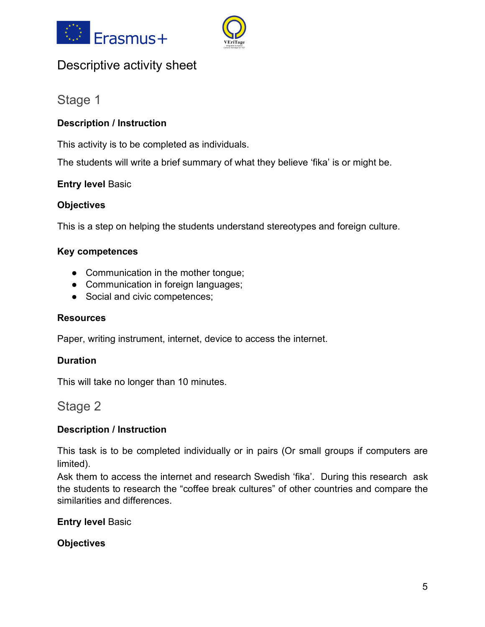



### Descriptive activity sheet

### Stage 1

### **Description / Instruction**

This activity is to be completed as individuals.

The students will write a brief summary of what they believe 'fika' is or might be.

### **Entry level** Basic

### **Objectives**

This is a step on helping the students understand stereotypes and foreign culture.

### **Key competences**

- Communication in the mother tongue;
- Communication in foreign languages;
- Social and civic competences;

### **Resources**

Paper, writing instrument, internet, device to access the internet.

### **Duration**

This will take no longer than 10 minutes.

### Stage 2

### **Description / Instruction**

This task is to be completed individually or in pairs (Or small groups if computers are limited).

Ask them to access the internet and research Swedish 'fika'. During this research ask the students to research the "coffee break cultures" of other countries and compare the similarities and differences.

**Entry level** Basic

**Objectives**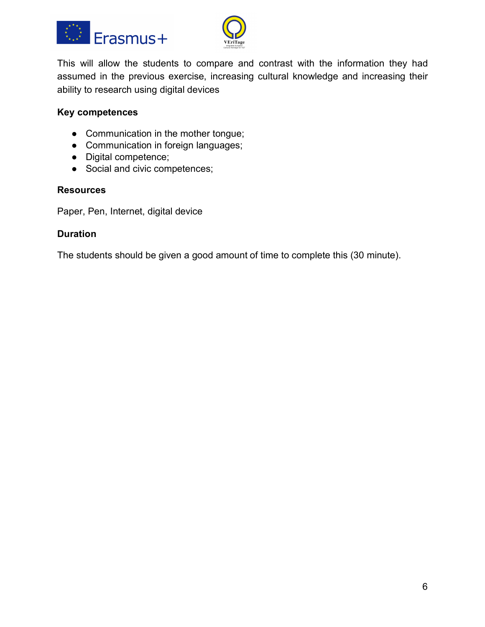



This will allow the students to compare and contrast with the information they had assumed in the previous exercise, increasing cultural knowledge and increasing their ability to research using digital devices

### **Key competences**

- Communication in the mother tongue;
- Communication in foreign languages;
- Digital competence;
- Social and civic competences;

#### **Resources**

Paper, Pen, Internet, digital device

### **Duration**

The students should be given a good amount of time to complete this (30 minute).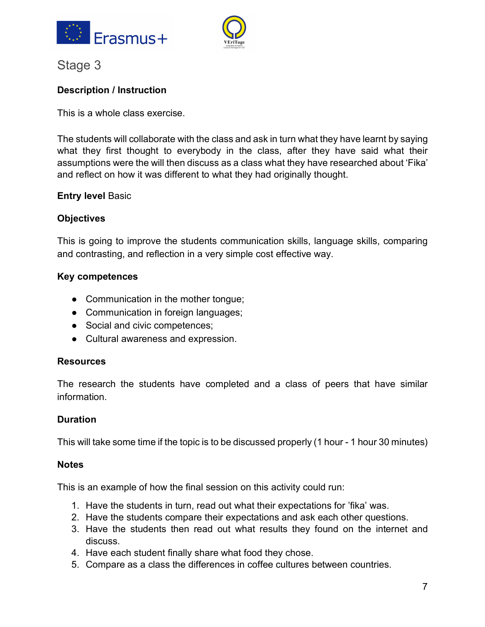



### Stage 3

### **Description / Instruction**

This is a whole class exercise.

The students will collaborate with the class and ask in turn what they have learnt by saying what they first thought to everybody in the class, after they have said what their assumptions were the will then discuss as a class what they have researched about 'Fika' and reflect on how it was different to what they had originally thought.

### **Entry level** Basic

### **Objectives**

This is going to improve the students communication skills, language skills, comparing and contrasting, and reflection in a very simple cost effective way.

### **Key competences**

- Communication in the mother tongue;
- Communication in foreign languages;
- Social and civic competences;
- Cultural awareness and expression.

### **Resources**

The research the students have completed and a class of peers that have similar information.

### **Duration**

This will take some time if the topic is to be discussed properly (1 hour - 1 hour 30 minutes)

### **Notes**

This is an example of how the final session on this activity could run:

- 1. Have the students in turn, read out what their expectations for 'fika' was.
- 2. Have the students compare their expectations and ask each other questions.
- 3. Have the students then read out what results they found on the internet and discuss.
- 4. Have each student finally share what food they chose.
- 5. Compare as a class the differences in coffee cultures between countries.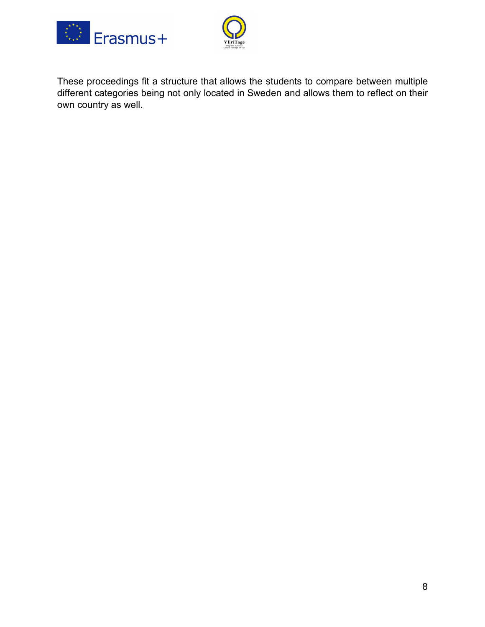



These proceedings fit a structure that allows the students to compare between multiple different categories being not only located in Sweden and allows them to reflect on their own country as well.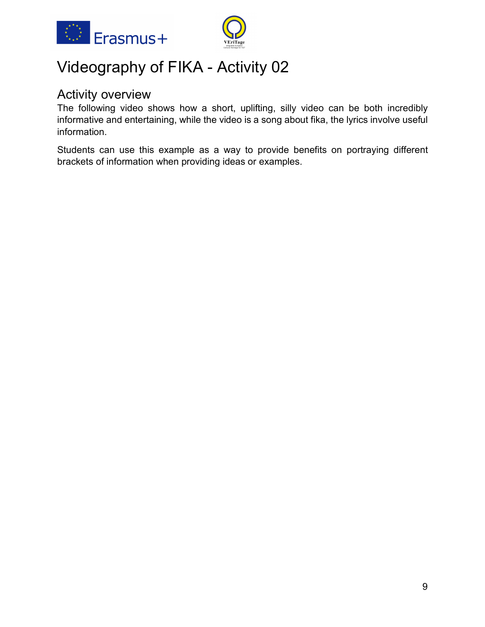



## Videography of FIKA - Activity 02

### Activity overview

The following video shows how a short, uplifting, silly video can be both incredibly informative and entertaining, while the video is a song about fika, the lyrics involve useful information.

Students can use this example as a way to provide benefits on portraying different brackets of information when providing ideas or examples.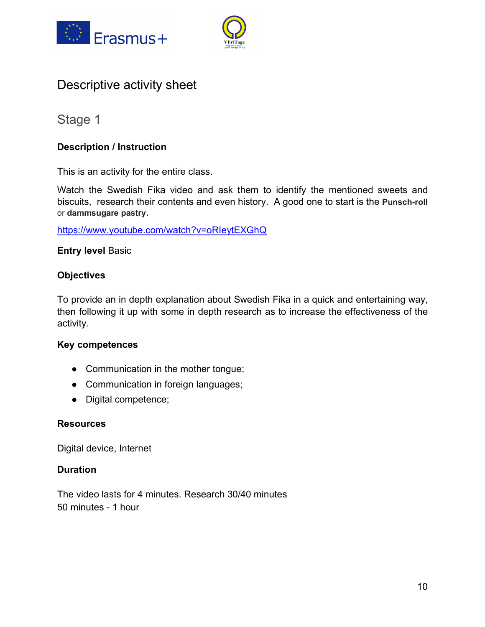



### Descriptive activity sheet

### Stage 1

### **Description / Instruction**

This is an activity for the entire class.

Watch the Swedish Fika video and ask them to identify the mentioned sweets and biscuits, research their contents and even history. A good one to start is the **Punsch-roll** or **dammsugare pastry.**

https://www.youtube.com/watch?v=oRIeytEXGhQ

### **Entry level** Basic

### **Objectives**

To provide an in depth explanation about Swedish Fika in a quick and entertaining way, then following it up with some in depth research as to increase the effectiveness of the activity.

### **Key competences**

- Communication in the mother tongue;
- Communication in foreign languages;
- Digital competence;

### **Resources**

Digital device, Internet

### **Duration**

The video lasts for 4 minutes. Research 30/40 minutes 50 minutes - 1 hour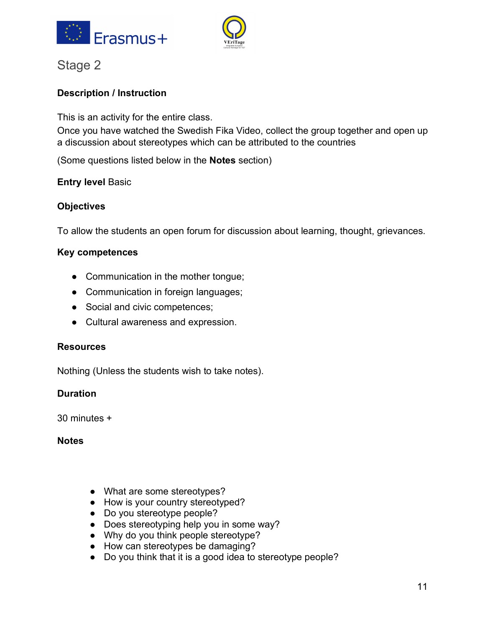



### Stage 2

### **Description / Instruction**

This is an activity for the entire class.

Once you have watched the Swedish Fika Video, collect the group together and open up a discussion about stereotypes which can be attributed to the countries

(Some questions listed below in the **Notes** section)

### **Entry level** Basic

### **Objectives**

To allow the students an open forum for discussion about learning, thought, grievances.

### **Key competences**

- Communication in the mother tongue;
- Communication in foreign languages;
- Social and civic competences;
- Cultural awareness and expression.

### **Resources**

Nothing (Unless the students wish to take notes).

### **Duration**

30 minutes +

### **Notes**

- What are some stereotypes?
- How is your country stereotyped?
- Do you stereotype people?
- Does stereotyping help you in some way?
- Why do you think people stereotype?
- How can stereotypes be damaging?
- Do you think that it is a good idea to stereotype people?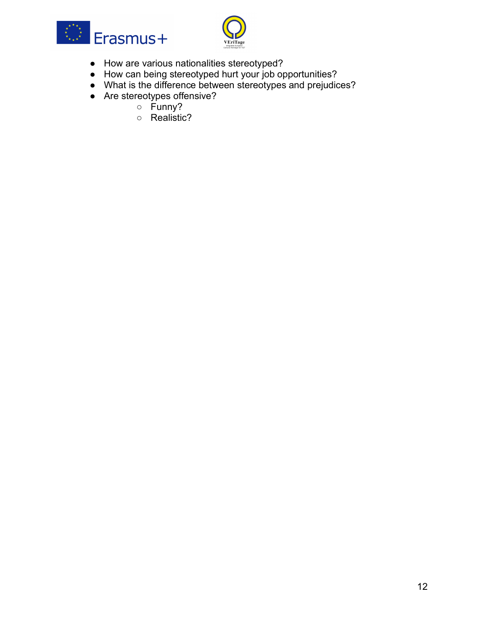



- How are various nationalities stereotyped?
- How can being stereotyped hurt your job opportunities?
- What is the difference between stereotypes and prejudices?
- Are stereotypes offensive?
	- Funny?
	- Realistic?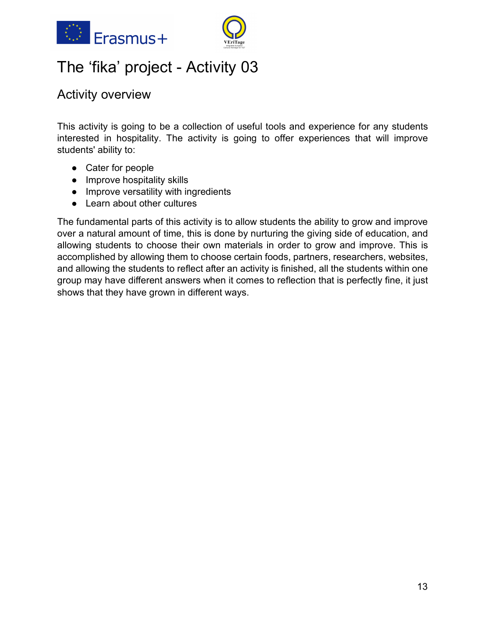



## The 'fika' project - Activity 03

### Activity overview

This activity is going to be a collection of useful tools and experience for any students interested in hospitality. The activity is going to offer experiences that will improve students' ability to:

- Cater for people
- Improve hospitality skills
- Improve versatility with ingredients
- Learn about other cultures

The fundamental parts of this activity is to allow students the ability to grow and improve over a natural amount of time, this is done by nurturing the giving side of education, and allowing students to choose their own materials in order to grow and improve. This is accomplished by allowing them to choose certain foods, partners, researchers, websites, and allowing the students to reflect after an activity is finished, all the students within one group may have different answers when it comes to reflection that is perfectly fine, it just shows that they have grown in different ways.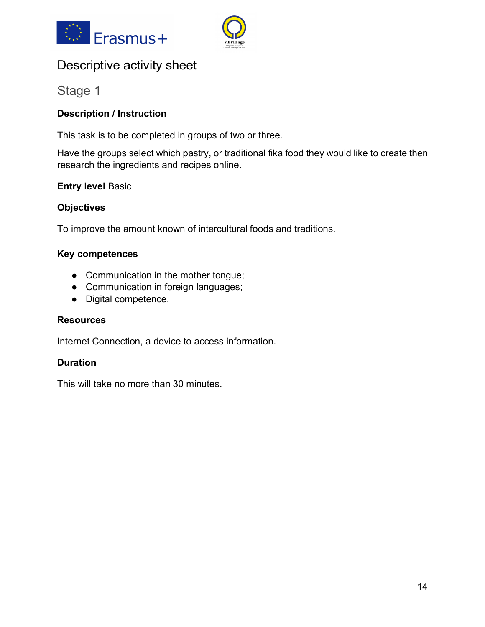



### Descriptive activity sheet

Stage 1

### **Description / Instruction**

This task is to be completed in groups of two or three.

Have the groups select which pastry, or traditional fika food they would like to create then research the ingredients and recipes online.

### **Entry level** Basic

### **Objectives**

To improve the amount known of intercultural foods and traditions.

### **Key competences**

- Communication in the mother tongue;
- Communication in foreign languages;
- Digital competence.

### **Resources**

Internet Connection, a device to access information.

### **Duration**

This will take no more than 30 minutes.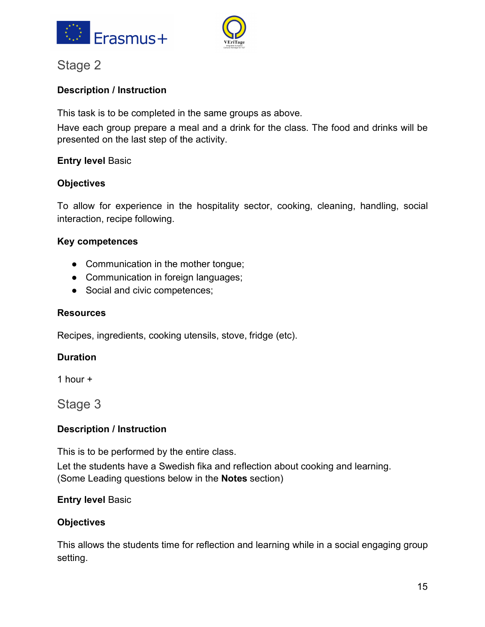



### Stage 2

### **Description / Instruction**

This task is to be completed in the same groups as above.

Have each group prepare a meal and a drink for the class. The food and drinks will be presented on the last step of the activity.

### **Entry level** Basic

### **Objectives**

To allow for experience in the hospitality sector, cooking, cleaning, handling, social interaction, recipe following.

### **Key competences**

- Communication in the mother tongue;
- Communication in foreign languages;
- Social and civic competences;

### **Resources**

Recipes, ingredients, cooking utensils, stove, fridge (etc).

### **Duration**

1 hour +

Stage 3

### **Description / Instruction**

This is to be performed by the entire class.

Let the students have a Swedish fika and reflection about cooking and learning. (Some Leading questions below in the **Notes** section)

### **Entry level** Basic

### **Objectives**

This allows the students time for reflection and learning while in a social engaging group setting.